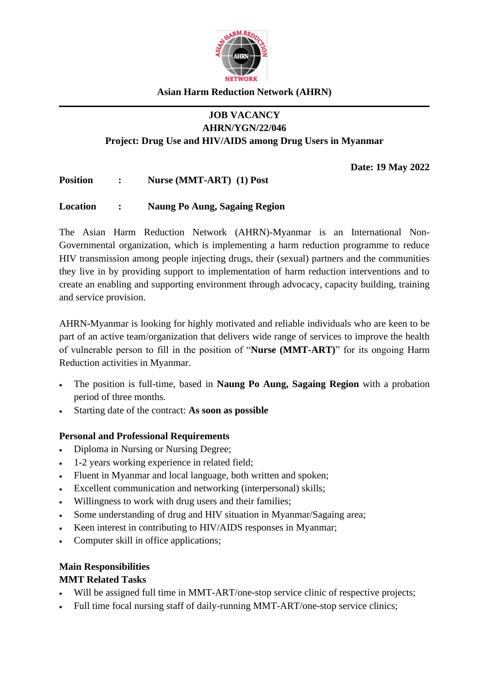

### **Asian Harm Reduction Network (AHRN)**

#### **JOB VACANCY AHRN/YGN/22/046**

**Project: Drug Use and HIV/AIDS among Drug Users in Myanmar** 

**Date: 19 May 2022**

**Position : Nurse (MMT-ART) (1) Post**

#### **Location : Naung Po Aung, Sagaing Region**

The Asian Harm Reduction Network (AHRN)-Myanmar is an International Non-Governmental organization, which is implementing a harm reduction programme to reduce HIV transmission among people injecting drugs, their (sexual) partners and the communities they live in by providing support to implementation of harm reduction interventions and to create an enabling and supporting environment through advocacy, capacity building, training and service provision.

AHRN-Myanmar is looking for highly motivated and reliable individuals who are keen to be part of an active team/organization that delivers wide range of services to improve the health of vulnerable person to fill in the position of "**Nurse (MMT-ART)**" for its ongoing Harm Reduction activities in Myanmar.

- The position is full-time, based in **Naung Po Aung, Sagaing Region** with a probation period of three months.
- Starting date of the contract: **As soon as possible**

## **Personal and Professional Requirements**

- Diploma in Nursing or Nursing Degree;
- 1-2 years working experience in related field;
- Fluent in Myanmar and local language, both written and spoken;
- Excellent communication and networking (interpersonal) skills;
- Willingness to work with drug users and their families;
- Some understanding of drug and HIV situation in Myanmar/Sagaing area;
- Keen interest in contributing to HIV/AIDS responses in Myanmar;
- Computer skill in office applications;

#### **Main Responsibilities**

#### **MMT Related Tasks**

- Will be assigned full time in MMT-ART/one-stop service clinic of respective projects;
- Full time focal nursing staff of daily-running MMT-ART/one-stop service clinics;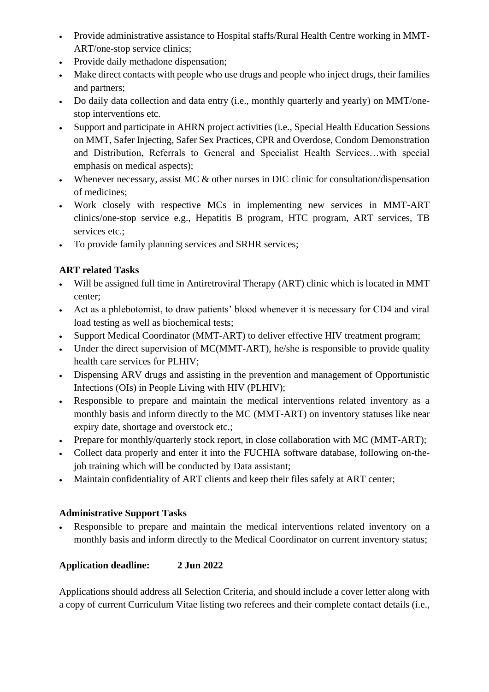- Provide administrative assistance to Hospital staffs/Rural Health Centre working in MMT-ART/one-stop service clinics;
- Provide daily methadone dispensation;
- Make direct contacts with people who use drugs and people who inject drugs, their families and partners;
- Do daily data collection and data entry (i.e., monthly quarterly and yearly) on MMT/onestop interventions etc.
- Support and participate in AHRN project activities (i.e., Special Health Education Sessions on MMT, Safer Injecting, Safer Sex Practices, CPR and Overdose, Condom Demonstration and Distribution, Referrals to General and Specialist Health Services…with special emphasis on medical aspects);
- Whenever necessary, assist MC & other nurses in DIC clinic for consultation/dispensation of medicines;
- Work closely with respective MCs in implementing new services in MMT-ART clinics/one-stop service e.g., Hepatitis B program, HTC program, ART services, TB services etc.;
- To provide family planning services and SRHR services;

# **ART related Tasks**

- Will be assigned full time in Antiretroviral Therapy (ART) clinic which is located in MMT center;
- Act as a phlebotomist, to draw patients' blood whenever it is necessary for CD4 and viral load testing as well as biochemical tests;
- Support Medical Coordinator (MMT-ART) to deliver effective HIV treatment program;
- Under the direct supervision of MC(MMT-ART), he/she is responsible to provide quality health care services for PLHIV;
- Dispensing ARV drugs and assisting in the prevention and management of Opportunistic Infections (OIs) in People Living with HIV (PLHIV);
- Responsible to prepare and maintain the medical interventions related inventory as a monthly basis and inform directly to the MC (MMT-ART) on inventory statuses like near expiry date, shortage and overstock etc.;
- Prepare for monthly/quarterly stock report, in close collaboration with MC (MMT-ART);
- Collect data properly and enter it into the FUCHIA software database, following on-thejob training which will be conducted by Data assistant;
- Maintain confidentiality of ART clients and keep their files safely at ART center;

## **Administrative Support Tasks**

• Responsible to prepare and maintain the medical interventions related inventory on a monthly basis and inform directly to the Medical Coordinator on current inventory status;

# **Application deadline: 2 Jun 2022**

Applications should address all Selection Criteria, and should include a cover letter along with a copy of current Curriculum Vitae listing two referees and their complete contact details (i.e.,